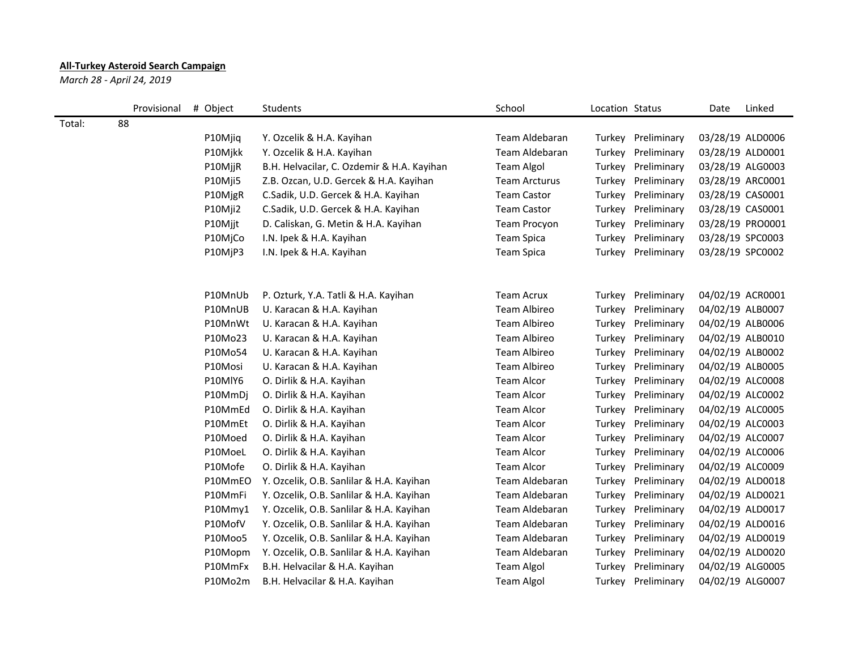## **All-Turkey Asteroid Search Campaign**

*March 28 - April 24, 2019*

|        | Provisional | # Object | Students                                   | School               | Location Status |                    | Date             | Linked           |
|--------|-------------|----------|--------------------------------------------|----------------------|-----------------|--------------------|------------------|------------------|
| Total: | 88          |          |                                            |                      |                 |                    |                  |                  |
|        |             | P10Mjiq  | Y. Ozcelik & H.A. Kayihan                  | Team Aldebaran       | Turkey          | Preliminary        | 03/28/19 ALD0006 |                  |
|        |             | P10Mjkk  | Y. Ozcelik & H.A. Kayihan                  | Team Aldebaran       | Turkey          | Preliminary        | 03/28/19 ALD0001 |                  |
|        |             | P10MjjR  | B.H. Helvacilar, C. Ozdemir & H.A. Kayihan | <b>Team Algol</b>    | Turkey          | Preliminary        | 03/28/19 ALG0003 |                  |
|        |             | P10Mji5  | Z.B. Ozcan, U.D. Gercek & H.A. Kayihan     | <b>Team Arcturus</b> | Turkey          | Preliminary        |                  | 03/28/19 ARC0001 |
|        |             | P10MjgR  | C.Sadik, U.D. Gercek & H.A. Kayihan        | <b>Team Castor</b>   | Turkey          | Preliminary        | 03/28/19 CAS0001 |                  |
|        |             | P10Mji2  | C.Sadik, U.D. Gercek & H.A. Kayihan        | <b>Team Castor</b>   | Turkey          | Preliminary        | 03/28/19 CAS0001 |                  |
|        |             | P10Mjjt  | D. Caliskan, G. Metin & H.A. Kayihan       | Team Procyon         | Turkey          | Preliminary        |                  | 03/28/19 PRO0001 |
|        |             | P10MjCo  | I.N. Ipek & H.A. Kayihan                   | Team Spica           | Turkey          | Preliminary        | 03/28/19 SPC0003 |                  |
|        |             | P10MjP3  | I.N. Ipek & H.A. Kayihan                   | Team Spica           | Turkey          | Preliminary        | 03/28/19 SPC0002 |                  |
|        |             |          |                                            |                      |                 |                    |                  |                  |
|        |             | P10MnUb  | P. Ozturk, Y.A. Tatli & H.A. Kayihan       | <b>Team Acrux</b>    | Turkey          | Preliminary        | 04/02/19 ACR0001 |                  |
|        |             | P10MnUB  | U. Karacan & H.A. Kayihan                  | Team Albireo         | Turkey          | Preliminary        | 04/02/19 ALB0007 |                  |
|        |             | P10MnWt  | U. Karacan & H.A. Kayihan                  | Team Albireo         | Turkey          | Preliminary        | 04/02/19 ALB0006 |                  |
|        |             | P10Mo23  | U. Karacan & H.A. Kayihan                  | <b>Team Albireo</b>  | Turkey          | Preliminary        | 04/02/19 ALB0010 |                  |
|        |             | P10Mo54  | U. Karacan & H.A. Kayihan                  | <b>Team Albireo</b>  | Turkey          | Preliminary        | 04/02/19 ALB0002 |                  |
|        |             | P10Mosi  | U. Karacan & H.A. Kayihan                  | Team Albireo         | Turkey          | Preliminary        | 04/02/19 ALB0005 |                  |
|        |             | P10MlY6  | O. Dirlik & H.A. Kayihan                   | <b>Team Alcor</b>    | Turkey          | Preliminary        | 04/02/19 ALC0008 |                  |
|        |             | P10MmDj  | O. Dirlik & H.A. Kayihan                   | <b>Team Alcor</b>    | Turkey          | Preliminary        | 04/02/19 ALC0002 |                  |
|        |             | P10MmEd  | O. Dirlik & H.A. Kayihan                   | Team Alcor           | Turkey          | Preliminary        | 04/02/19 ALC0005 |                  |
|        |             | P10MmEt  | O. Dirlik & H.A. Kayihan                   | Team Alcor           | Turkey          | Preliminary        | 04/02/19 ALC0003 |                  |
|        |             | P10Moed  | O. Dirlik & H.A. Kayihan                   | <b>Team Alcor</b>    | Turkey          | Preliminary        | 04/02/19 ALC0007 |                  |
|        |             | P10MoeL  | O. Dirlik & H.A. Kayihan                   | Team Alcor           | Turkey          | Preliminary        | 04/02/19 ALC0006 |                  |
|        |             | P10Mofe  | O. Dirlik & H.A. Kayihan                   | <b>Team Alcor</b>    | Turkey          | Preliminary        | 04/02/19 ALC0009 |                  |
|        |             | P10MmEO  | Y. Ozcelik, O.B. Sanlilar & H.A. Kayihan   | Team Aldebaran       | Turkey          | Preliminary        | 04/02/19 ALD0018 |                  |
|        |             | P10MmFi  | Y. Ozcelik, O.B. Sanlilar & H.A. Kayihan   | Team Aldebaran       | Turkey          | Preliminary        | 04/02/19 ALD0021 |                  |
|        |             | P10Mmy1  | Y. Ozcelik, O.B. Sanlilar & H.A. Kayihan   | Team Aldebaran       | Turkey          | Preliminary        | 04/02/19 ALD0017 |                  |
|        |             | P10MofV  | Y. Ozcelik, O.B. Sanlilar & H.A. Kayihan   | Team Aldebaran       | Turkey          | Preliminary        | 04/02/19 ALD0016 |                  |
|        |             | P10Moo5  | Y. Ozcelik, O.B. Sanlilar & H.A. Kayihan   | Team Aldebaran       | Turkey          | Preliminary        | 04/02/19 ALD0019 |                  |
|        |             | P10Mopm  | Y. Ozcelik, O.B. Sanlilar & H.A. Kayihan   | Team Aldebaran       | Turkey          | Preliminary        | 04/02/19 ALD0020 |                  |
|        |             | P10MmFx  | B.H. Helvacilar & H.A. Kayihan             | <b>Team Algol</b>    | Turkey          | Preliminary        | 04/02/19 ALG0005 |                  |
|        |             | P10Mo2m  | B.H. Helvacilar & H.A. Kayihan             | <b>Team Algol</b>    |                 | Turkey Preliminary | 04/02/19 ALG0007 |                  |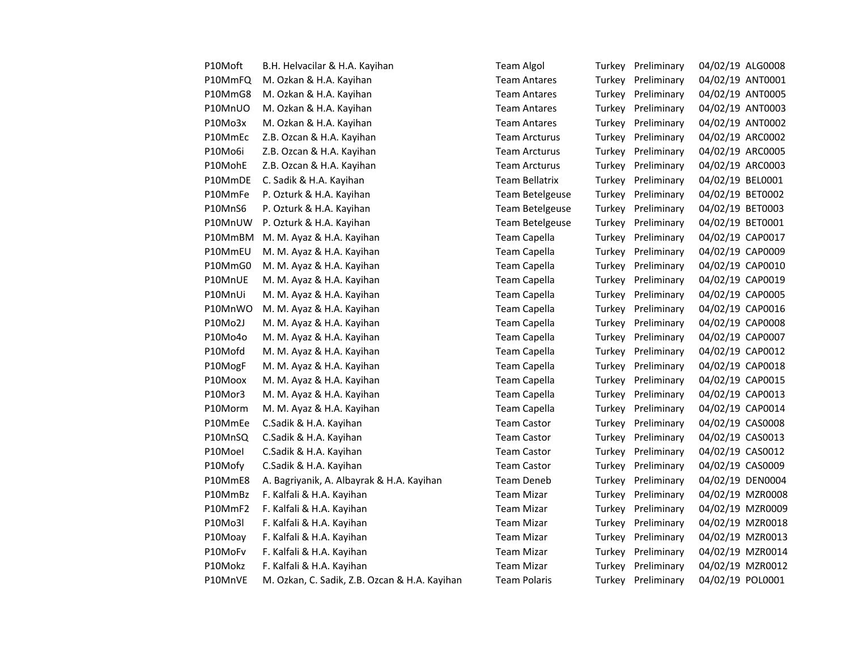| P10Moft | B.H. Helvacilar & H.A. Kayihan                | <b>Team Algol</b>     |        | Turkey Preliminary | 04/02/19 ALG0008 |                  |
|---------|-----------------------------------------------|-----------------------|--------|--------------------|------------------|------------------|
| P10MmFQ | M. Ozkan & H.A. Kayihan                       | <b>Team Antares</b>   |        | Turkey Preliminary |                  | 04/02/19 ANT0001 |
| P10MmG8 | M. Ozkan & H.A. Kayihan                       | <b>Team Antares</b>   |        | Turkey Preliminary |                  | 04/02/19 ANT0005 |
| P10MnUO | M. Ozkan & H.A. Kayihan                       | <b>Team Antares</b>   |        | Turkey Preliminary |                  | 04/02/19 ANT0003 |
| P10Mo3x | M. Ozkan & H.A. Kayihan                       | <b>Team Antares</b>   |        | Turkey Preliminary |                  | 04/02/19 ANT0002 |
| P10MmEc | Z.B. Ozcan & H.A. Kayihan                     | <b>Team Arcturus</b>  |        | Turkey Preliminary |                  | 04/02/19 ARC0002 |
| P10Mo6i | Z.B. Ozcan & H.A. Kayihan                     | <b>Team Arcturus</b>  |        | Turkey Preliminary | 04/02/19 ARC0005 |                  |
| P10MohE | Z.B. Ozcan & H.A. Kayihan                     | <b>Team Arcturus</b>  |        | Turkey Preliminary |                  | 04/02/19 ARC0003 |
| P10MmDE | C. Sadik & H.A. Kayihan                       | <b>Team Bellatrix</b> |        | Turkey Preliminary | 04/02/19 BEL0001 |                  |
| P10MmFe | P. Ozturk & H.A. Kayihan                      | Team Betelgeuse       |        | Turkey Preliminary | 04/02/19 BET0002 |                  |
| P10MnS6 | P. Ozturk & H.A. Kayihan                      | Team Betelgeuse       |        | Turkey Preliminary | 04/02/19 BET0003 |                  |
| P10MnUW | P. Ozturk & H.A. Kayihan                      | Team Betelgeuse       |        | Turkey Preliminary | 04/02/19 BET0001 |                  |
| P10MmBM | M. M. Ayaz & H.A. Kayihan                     | Team Capella          |        | Turkey Preliminary | 04/02/19 CAP0017 |                  |
| P10MmEU | M. M. Ayaz & H.A. Kayihan                     | Team Capella          |        | Turkey Preliminary | 04/02/19 CAP0009 |                  |
| P10MmG0 | M. M. Ayaz & H.A. Kayihan                     | <b>Team Capella</b>   |        | Turkey Preliminary | 04/02/19 CAP0010 |                  |
| P10MnUE | M. M. Ayaz & H.A. Kayihan                     | Team Capella          |        | Turkey Preliminary | 04/02/19 CAP0019 |                  |
| P10MnUi | M. M. Ayaz & H.A. Kayihan                     | Team Capella          |        | Turkey Preliminary | 04/02/19 CAP0005 |                  |
| P10MnWO | M. M. Ayaz & H.A. Kayihan                     | Team Capella          |        | Turkey Preliminary | 04/02/19 CAP0016 |                  |
| P10Mo2J | M. M. Ayaz & H.A. Kayihan                     | <b>Team Capella</b>   | Turkey | Preliminary        | 04/02/19 CAP0008 |                  |
| P10Mo4o | M. M. Ayaz & H.A. Kayihan                     | Team Capella          |        | Turkey Preliminary | 04/02/19 CAP0007 |                  |
| P10Mofd | M. M. Ayaz & H.A. Kayihan                     | <b>Team Capella</b>   | Turkey | Preliminary        | 04/02/19 CAP0012 |                  |
| P10MogF | M. M. Ayaz & H.A. Kayihan                     | <b>Team Capella</b>   |        | Turkey Preliminary | 04/02/19 CAP0018 |                  |
| P10Moox | M. M. Ayaz & H.A. Kayihan                     | <b>Team Capella</b>   |        | Turkey Preliminary | 04/02/19 CAP0015 |                  |
| P10Mor3 | M. M. Ayaz & H.A. Kayihan                     | <b>Team Capella</b>   |        | Turkey Preliminary | 04/02/19 CAP0013 |                  |
| P10Morm | M. M. Ayaz & H.A. Kayihan                     | <b>Team Capella</b>   |        | Turkey Preliminary | 04/02/19 CAP0014 |                  |
| P10MmEe | C.Sadik & H.A. Kayihan                        | <b>Team Castor</b>    |        | Turkey Preliminary | 04/02/19 CAS0008 |                  |
| P10MnSQ | C.Sadik & H.A. Kayihan                        | <b>Team Castor</b>    |        | Turkey Preliminary | 04/02/19 CAS0013 |                  |
| P10Moel | C.Sadik & H.A. Kayihan                        | <b>Team Castor</b>    |        | Turkey Preliminary | 04/02/19 CAS0012 |                  |
| P10Mofy | C.Sadik & H.A. Kayihan                        | <b>Team Castor</b>    |        | Turkey Preliminary | 04/02/19 CAS0009 |                  |
| P10MmE8 | A. Bagriyanik, A. Albayrak & H.A. Kayihan     | <b>Team Deneb</b>     |        | Turkey Preliminary |                  | 04/02/19 DEN0004 |
| P10MmBz | F. Kalfali & H.A. Kayihan                     | <b>Team Mizar</b>     |        | Turkey Preliminary |                  | 04/02/19 MZR0008 |
| P10MmF2 | F. Kalfali & H.A. Kayihan                     | <b>Team Mizar</b>     |        | Turkey Preliminary |                  | 04/02/19 MZR0009 |
| P10Mo3l | F. Kalfali & H.A. Kayihan                     | <b>Team Mizar</b>     |        | Turkey Preliminary |                  | 04/02/19 MZR0018 |
| P10Moay | F. Kalfali & H.A. Kayihan                     | <b>Team Mizar</b>     |        | Turkey Preliminary |                  | 04/02/19 MZR0013 |
| P10MoFv | F. Kalfali & H.A. Kayihan                     | <b>Team Mizar</b>     |        | Turkey Preliminary |                  | 04/02/19 MZR0014 |
| P10Mokz | F. Kalfali & H.A. Kayihan                     | <b>Team Mizar</b>     |        | Turkey Preliminary |                  | 04/02/19 MZR0012 |
| P10MnVE | M. Ozkan, C. Sadik, Z.B. Ozcan & H.A. Kayihan | <b>Team Polaris</b>   |        | Turkey Preliminary | 04/02/19 POL0001 |                  |